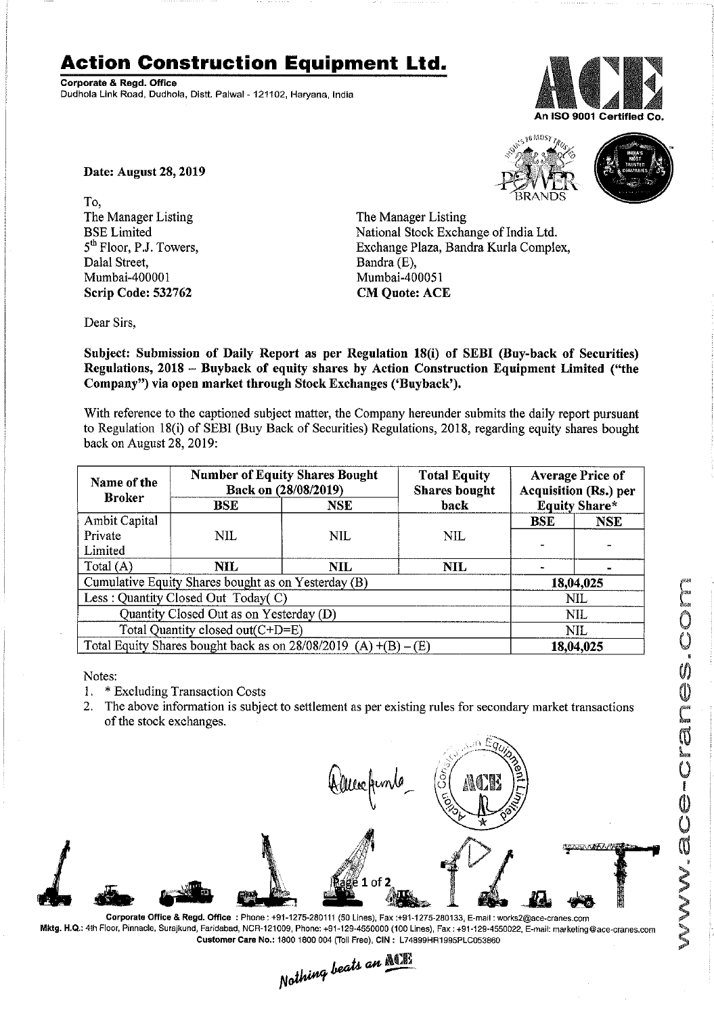## **Action Construction Equipment Ltd.**

Corporate & Regd. Office<br>Dudhola Link Road, Dudhola, Distt. Palwal - 121102, Haryana, India



MOS:

Date: August 28, 2019

To, The Manager Listing BSE Limited 5<sup>th</sup> Floor, P.J. Towers, Dalal Street, Mumbai-400001 Scrip Code: 532762

The Manager Listing National Stock Exchange of India Ltd. Exchange Plaza, Bandra Kurla Complex, Bandra (E), Mumbai-400051

Dear Sirs,

Subject: Submission of Daily Report as per Regulation 18(i) of SEBI (Buy-back of Securities) Regulations, 2018 - Buyback of equity shares by Action Construction Equipment Limited ("the Company") via open market through Stock Exchanges ('Buyback').

CM Quote: ACE

With reference to the captioned subject matter, the Company hereunder submits the daily report pursuant to Regulation 18(i) of SEBI (Buy Back of Securities) Regulations, 2018, regarding equity shares bought back on August 28,2019:

| Name of the<br><b>Broker</b>                                      | <b>Number of Equity Shares Bought</b><br>Back on (28/08/2019) |            | <b>Total Equity</b><br><b>Shares</b> bought | <b>Average Price of</b><br><b>Acquisition (Rs.) per</b> |            |
|-------------------------------------------------------------------|---------------------------------------------------------------|------------|---------------------------------------------|---------------------------------------------------------|------------|
|                                                                   | <b>BSE</b>                                                    | <b>NSE</b> | back                                        | <b>Equity Share*</b>                                    |            |
| Ambit Capital                                                     |                                                               |            |                                             | <b>BSE</b>                                              | <b>NSE</b> |
| Private                                                           | NIL.                                                          | <b>NIL</b> | NIL                                         |                                                         |            |
| Limited                                                           |                                                               |            |                                             |                                                         |            |
| Total $(A)$                                                       | NIL.                                                          | NIL        | NIL.                                        |                                                         |            |
| Cumulative Equity Shares bought as on Yesterday (B)               |                                                               |            |                                             | 18,04,025                                               |            |
| Less: Quantity Closed Out Today(C)                                |                                                               |            |                                             | NIL                                                     |            |
| Quantity Closed Out as on Yesterday (D)                           |                                                               |            |                                             | <b>NIL</b>                                              |            |
| Total Quantity closed out(C+D=E)                                  |                                                               |            |                                             | <b>NIL</b>                                              |            |
| Total Equity Shares bought back as on $28/08/2019$ (A) +(B) – (E) |                                                               |            |                                             | 18,04,025                                               |            |

Notes:

1. \* Excluding Transaction Costs

2. The above information is subject to settlement as per existing rules for secondary market transactions of the stock exchanges.



Corporale Office & Regd. Office: Phone: +91-1275-280111 (50 Lines), Fax:+91-1275-280133, E·mail: works2@ace·cranes.com

Customer Care No.: 1800 1800 004 (Toll Free), CIN: L74899HR1995PLC053860<br>Nathing beats an **Newlin**